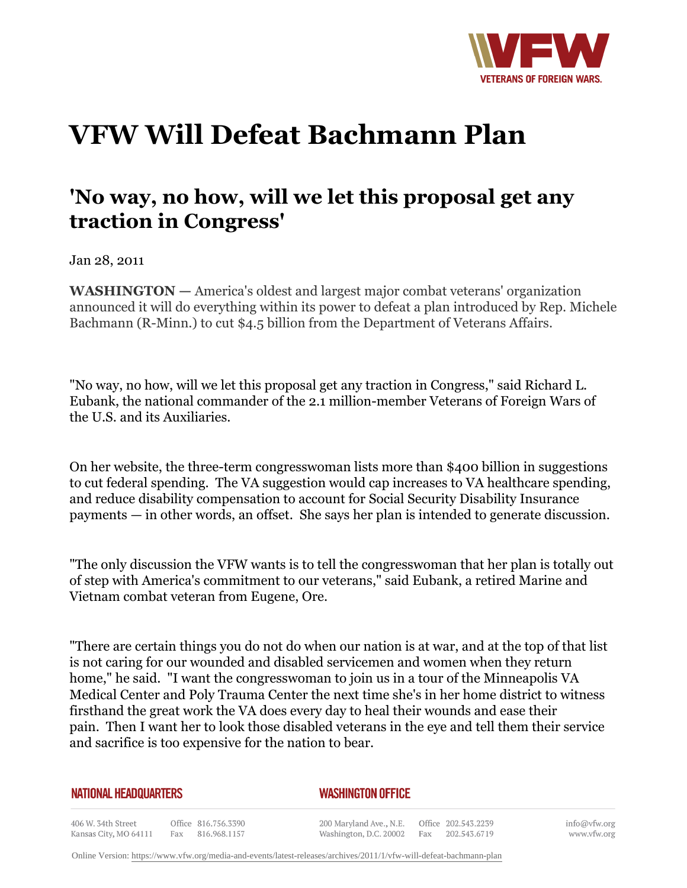

## **VFW Will Defeat Bachmann Plan**

## **'No way, no how, will we let this proposal get any traction in Congress'**

Jan 28, 2011

**WASHINGTON —** America's oldest and largest major combat veterans' organization announced it will do everything within its power to defeat a plan introduced by Rep. Michele Bachmann (R-Minn.) to cut \$4.5 billion from the Department of Veterans Affairs.

"No way, no how, will we let this proposal get any traction in Congress," said Richard L. Eubank, the national commander of the 2.1 million-member Veterans of Foreign Wars of the U.S. and its Auxiliaries.

On her website, the three-term congresswoman lists more than \$400 billion in suggestions to cut federal spending. The VA suggestion would cap increases to VA healthcare spending, and reduce disability compensation to account for Social Security Disability Insurance payments — in other words, an offset. She says her plan is intended to generate discussion.

"The only discussion the VFW wants is to tell the congresswoman that her plan is totally out of step with America's commitment to our veterans," said Eubank, a retired Marine and Vietnam combat veteran from Eugene, Ore.

"There are certain things you do not do when our nation is at war, and at the top of that list is not caring for our wounded and disabled servicemen and women when they return home," he said. "I want the congresswoman to join us in a tour of the Minneapolis VA Medical Center and Poly Trauma Center the next time she's in her home district to witness firsthand the great work the VA does every day to heal their wounds and ease their pain. Then I want her to look those disabled veterans in the eye and tell them their service and sacrifice is too expensive for the nation to bear.

## **NATIONAL HEADQUARTERS**

## *WASHINGTON OFFICE*

406 W. 34th Street Office 816.756.3390 Fax 816.968.1157 Kansas City, MO 64111

200 Maryland Ave., N.E. Washington, D.C. 20002

Office 202.543.2239 Fax 202.543.6719 info@vfw.org www.vfw.org

Online Version:<https://www.vfw.org/media-and-events/latest-releases/archives/2011/1/vfw-will-defeat-bachmann-plan>